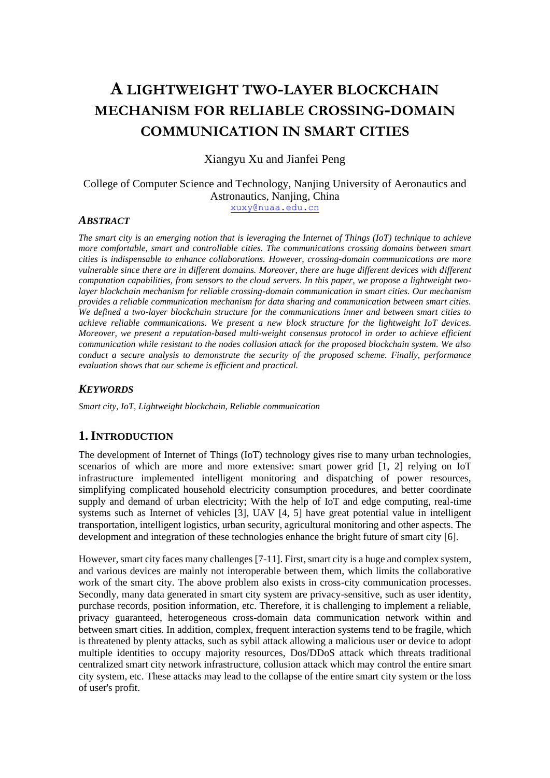# **A LIGHTWEIGHT TWO-LAYER BLOCKCHAIN MECHANISM FOR RELIABLE CROSSING-DOMAIN COMMUNICATION IN SMART CITIES**

Xiangyu Xu and Jianfei Peng

College of Computer Science and Technology, Nanjing University of Aeronautics and Astronautics, Nanjing, China [xuxy@nuaa.edu.cn](mailto:xuxy@nuaa.edu.cn)

# *ABSTRACT*

*The smart city is an emerging notion that is leveraging the Internet of Things (IoT) technique to achieve more comfortable, smart and controllable cities. The communications crossing domains between smart cities is indispensable to enhance collaborations. However, crossing-domain communications are more vulnerable since there are in different domains. Moreover, there are huge different devices with different computation capabilities, from sensors to the cloud servers. In this paper, we propose a lightweight twolayer blockchain mechanism for reliable crossing-domain communication in smart cities. Our mechanism provides a reliable communication mechanism for data sharing and communication between smart cities. We defined a two-layer blockchain structure for the communications inner and between smart cities to achieve reliable communications. We present a new block structure for the lightweight IoT devices. Moreover, we present a reputation-based multi-weight consensus protocol in order to achieve efficient communication while resistant to the nodes collusion attack for the proposed blockchain system. We also conduct a secure analysis to demonstrate the security of the proposed scheme. Finally, performance evaluation shows that our scheme is efficient and practical.*

# *KEYWORDS*

*Smart city, IoT, Lightweight blockchain, Reliable communication*

# **1.INTRODUCTION**

The development of Internet of Things (IoT) technology gives rise to many urban technologies, scenarios of which are more and more extensive: smart power grid [1, 2] relying on IoT infrastructure implemented intelligent monitoring and dispatching of power resources, simplifying complicated household electricity consumption procedures, and better coordinate supply and demand of urban electricity; With the help of IoT and edge computing, real-time systems such as Internet of vehicles [3], UAV [4, 5] have great potential value in intelligent transportation, intelligent logistics, urban security, agricultural monitoring and other aspects. The development and integration of these technologies enhance the bright future of smart city [6].

However, smart city faces many challenges [7-11]. First, smart city is a huge and complex system, and various devices are mainly not interoperable between them, which limits the collaborative work of the smart city. The above problem also exists in cross-city communication processes. Secondly, many data generated in smart city system are privacy-sensitive, such as user identity, purchase records, position information, etc. Therefore, it is challenging to implement a reliable, privacy guaranteed, heterogeneous cross-domain data communication network within and between smart cities. In addition, complex, frequent interaction systems tend to be fragile, which is threatened by plenty attacks, such as sybil attack allowing a malicious user or device to adopt multiple identities to occupy majority resources, Dos/DDoS attack which threats traditional centralized smart city network infrastructure, collusion attack which may control the entire smart city system, etc. These attacks may lead to the collapse of the entire smart city system or the loss of user's profit.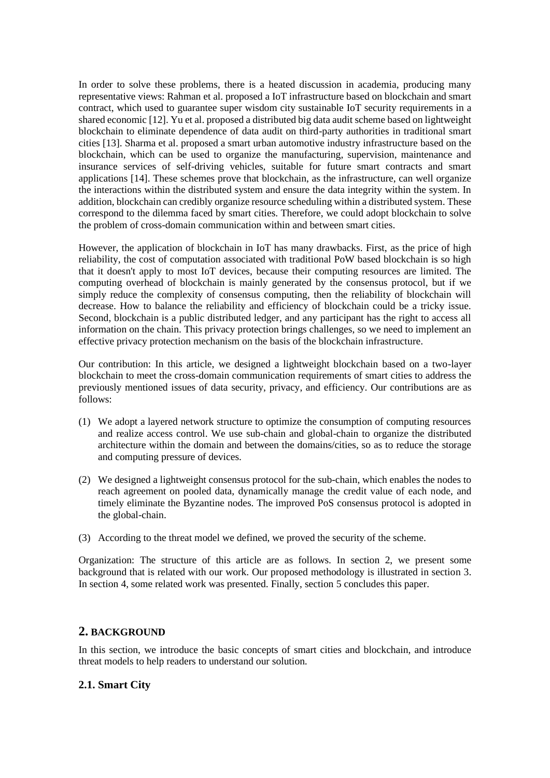In order to solve these problems, there is a heated discussion in academia, producing many representative views: Rahman et al. proposed a IoT infrastructure based on blockchain and smart contract, which used to guarantee super wisdom city sustainable IoT security requirements in a shared economic [12]. Yu et al. proposed a distributed big data audit scheme based on lightweight blockchain to eliminate dependence of data audit on third-party authorities in traditional smart cities [13]. Sharma et al. proposed a smart urban automotive industry infrastructure based on the blockchain, which can be used to organize the manufacturing, supervision, maintenance and insurance services of self-driving vehicles, suitable for future smart contracts and smart applications [14]. These schemes prove that blockchain, as the infrastructure, can well organize the interactions within the distributed system and ensure the data integrity within the system. In addition, blockchain can credibly organize resource scheduling within a distributed system. These correspond to the dilemma faced by smart cities. Therefore, we could adopt blockchain to solve the problem of cross-domain communication within and between smart cities.

However, the application of blockchain in IoT has many drawbacks. First, as the price of high reliability, the cost of computation associated with traditional PoW based blockchain is so high that it doesn't apply to most IoT devices, because their computing resources are limited. The computing overhead of blockchain is mainly generated by the consensus protocol, but if we simply reduce the complexity of consensus computing, then the reliability of blockchain will decrease. How to balance the reliability and efficiency of blockchain could be a tricky issue. Second, blockchain is a public distributed ledger, and any participant has the right to access all information on the chain. This privacy protection brings challenges, so we need to implement an effective privacy protection mechanism on the basis of the blockchain infrastructure.

Our contribution: In this article, we designed a lightweight blockchain based on a two-layer blockchain to meet the cross-domain communication requirements of smart cities to address the previously mentioned issues of data security, privacy, and efficiency. Our contributions are as follows:

- (1) We adopt a layered network structure to optimize the consumption of computing resources and realize access control. We use sub-chain and global-chain to organize the distributed architecture within the domain and between the domains/cities, so as to reduce the storage and computing pressure of devices.
- (2) We designed a lightweight consensus protocol for the sub-chain, which enables the nodes to reach agreement on pooled data, dynamically manage the credit value of each node, and timely eliminate the Byzantine nodes. The improved PoS consensus protocol is adopted in the global-chain.
- (3) According to the threat model we defined, we proved the security of the scheme.

Organization: The structure of this article are as follows. In section 2, we present some background that is related with our work. Our proposed methodology is illustrated in section 3. In section 4, some related work was presented. Finally, section 5 concludes this paper.

# **2. BACKGROUND**

In this section, we introduce the basic concepts of smart cities and blockchain, and introduce threat models to help readers to understand our solution.

# **2.1. Smart City**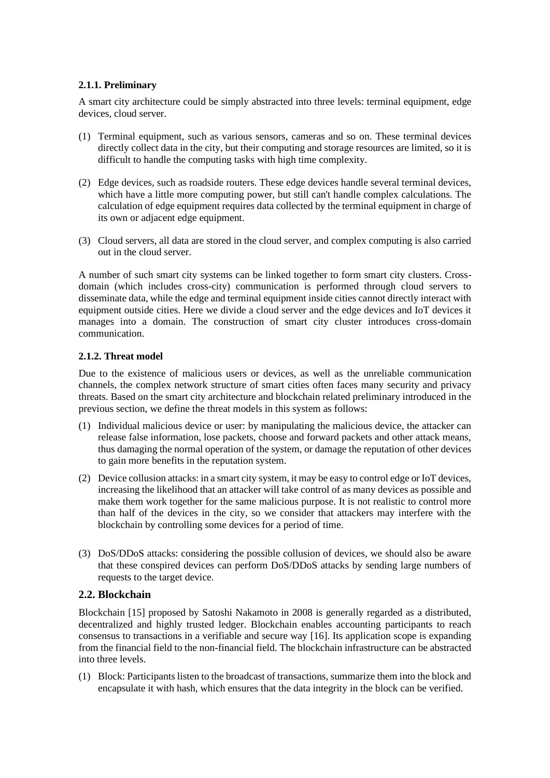### **2.1.1. Preliminary**

A smart city architecture could be simply abstracted into three levels: terminal equipment, edge devices, cloud server.

- (1) Terminal equipment, such as various sensors, cameras and so on. These terminal devices directly collect data in the city, but their computing and storage resources are limited, so it is difficult to handle the computing tasks with high time complexity.
- (2) Edge devices, such as roadside routers. These edge devices handle several terminal devices, which have a little more computing power, but still can't handle complex calculations. The calculation of edge equipment requires data collected by the terminal equipment in charge of its own or adjacent edge equipment.
- (3) Cloud servers, all data are stored in the cloud server, and complex computing is also carried out in the cloud server.

A number of such smart city systems can be linked together to form smart city clusters. Crossdomain (which includes cross-city) communication is performed through cloud servers to disseminate data, while the edge and terminal equipment inside cities cannot directly interact with equipment outside cities. Here we divide a cloud server and the edge devices and IoT devices it manages into a domain. The construction of smart city cluster introduces cross-domain communication.

### **2.1.2. Threat model**

Due to the existence of malicious users or devices, as well as the unreliable communication channels, the complex network structure of smart cities often faces many security and privacy threats. Based on the smart city architecture and blockchain related preliminary introduced in the previous section, we define the threat models in this system as follows:

- (1) Individual malicious device or user: by manipulating the malicious device, the attacker can release false information, lose packets, choose and forward packets and other attack means, thus damaging the normal operation of the system, or damage the reputation of other devices to gain more benefits in the reputation system.
- (2) Device collusion attacks: in a smart city system, it may be easy to control edge or IoT devices, increasing the likelihood that an attacker will take control of as many devices as possible and make them work together for the same malicious purpose. It is not realistic to control more than half of the devices in the city, so we consider that attackers may interfere with the blockchain by controlling some devices for a period of time.
- (3) DoS/DDoS attacks: considering the possible collusion of devices, we should also be aware that these conspired devices can perform DoS/DDoS attacks by sending large numbers of requests to the target device.

# **2.2. Blockchain**

Blockchain [15] proposed by Satoshi Nakamoto in 2008 is generally regarded as a distributed, decentralized and highly trusted ledger. Blockchain enables accounting participants to reach consensus to transactions in a verifiable and secure way [16]. Its application scope is expanding from the financial field to the non-financial field. The blockchain infrastructure can be abstracted into three levels.

(1) Block: Participants listen to the broadcast of transactions, summarize them into the block and encapsulate it with hash, which ensures that the data integrity in the block can be verified.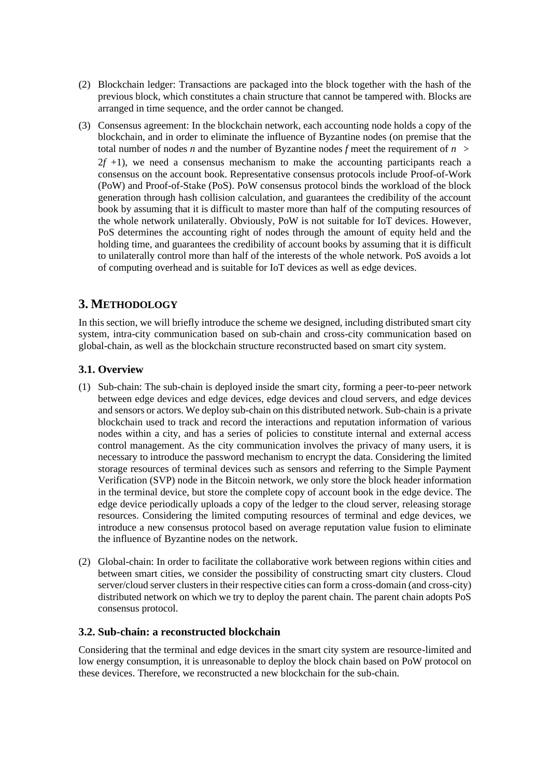- (2) Blockchain ledger: Transactions are packaged into the block together with the hash of the previous block, which constitutes a chain structure that cannot be tampered with. Blocks are arranged in time sequence, and the order cannot be changed.
- (3) Consensus agreement: In the blockchain network, each accounting node holds a copy of the blockchain, and in order to eliminate the influence of Byzantine nodes (on premise that the total number of nodes *n* and the number of Byzantine nodes *f* meet the requirement of  $n >$  $2f + 1$ ), we need a consensus mechanism to make the accounting participants reach a consensus on the account book. Representative consensus protocols include Proof-of-Work (PoW) and Proof-of-Stake (PoS). PoW consensus protocol binds the workload of the block generation through hash collision calculation, and guarantees the credibility of the account book by assuming that it is difficult to master more than half of the computing resources of the whole network unilaterally. Obviously, PoW is not suitable for IoT devices. However, PoS determines the accounting right of nodes through the amount of equity held and the holding time, and guarantees the credibility of account books by assuming that it is difficult to unilaterally control more than half of the interests of the whole network. PoS avoids a lot of computing overhead and is suitable for IoT devices as well as edge devices.

# **3. METHODOLOGY**

In this section, we will briefly introduce the scheme we designed, including distributed smart city system, intra-city communication based on sub-chain and cross-city communication based on global-chain, as well as the blockchain structure reconstructed based on smart city system.

# **3.1. Overview**

- (1) Sub-chain: The sub-chain is deployed inside the smart city, forming a peer-to-peer network between edge devices and edge devices, edge devices and cloud servers, and edge devices and sensors or actors. We deploy sub-chain on this distributed network. Sub-chain is a private blockchain used to track and record the interactions and reputation information of various nodes within a city, and has a series of policies to constitute internal and external access control management. As the city communication involves the privacy of many users, it is necessary to introduce the password mechanism to encrypt the data. Considering the limited storage resources of terminal devices such as sensors and referring to the Simple Payment Verification (SVP) node in the Bitcoin network, we only store the block header information in the terminal device, but store the complete copy of account book in the edge device. The edge device periodically uploads a copy of the ledger to the cloud server, releasing storage resources. Considering the limited computing resources of terminal and edge devices, we introduce a new consensus protocol based on average reputation value fusion to eliminate the influence of Byzantine nodes on the network.
- (2) Global-chain: In order to facilitate the collaborative work between regions within cities and between smart cities, we consider the possibility of constructing smart city clusters. Cloud server/cloud server clusters in their respective cities can form a cross-domain (and cross-city) distributed network on which we try to deploy the parent chain. The parent chain adopts PoS consensus protocol.

# **3.2. Sub-chain: a reconstructed blockchain**

Considering that the terminal and edge devices in the smart city system are resource-limited and low energy consumption, it is unreasonable to deploy the block chain based on PoW protocol on these devices. Therefore, we reconstructed a new blockchain for the sub-chain.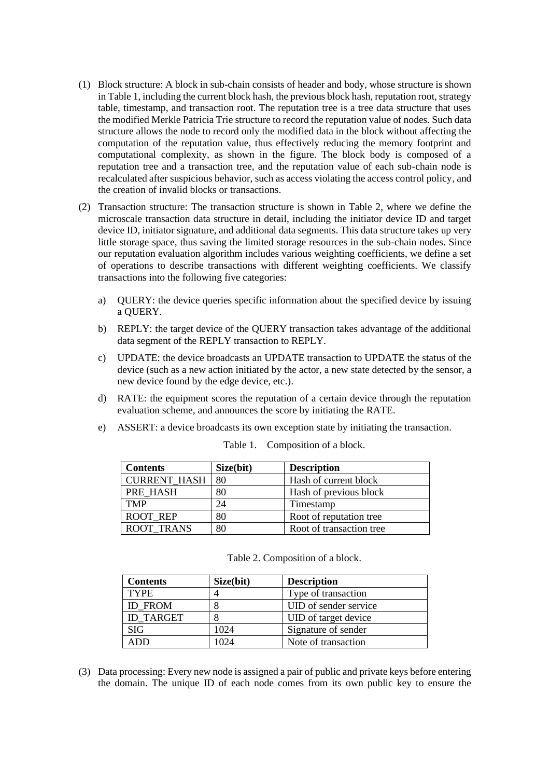- (1) Block structure: A block in sub-chain consists of header and body, whose structure is shown in Table 1, including the current block hash, the previous block hash, reputation root, strategy table, timestamp, and transaction root. The reputation tree is a tree data structure that uses the modified Merkle Patricia Trie structure to record the reputation value of nodes. Such data structure allows the node to record only the modified data in the block without affecting the computation of the reputation value, thus effectively reducing the memory footprint and computational complexity, as shown in the figure. The block body is composed of a reputation tree and a transaction tree, and the reputation value of each sub-chain node is recalculated after suspicious behavior, such as access violating the access control policy, and the creation of invalid blocks or transactions.
- (2) Transaction structure: The transaction structure is shown in Table 2, where we define the microscale transaction data structure in detail, including the initiator device ID and target device ID, initiator signature, and additional data segments. This data structure takes up very little storage space, thus saving the limited storage resources in the sub-chain nodes. Since our reputation evaluation algorithm includes various weighting coefficients, we define a set of operations to describe transactions with different weighting coefficients. We classify transactions into the following five categories:
	- a) QUERY: the device queries specific information about the specified device by issuing a QUERY.
	- b) REPLY: the target device of the QUERY transaction takes advantage of the additional data segment of the REPLY transaction to REPLY.
	- c) UPDATE: the device broadcasts an UPDATE transaction to UPDATE the status of the device (such as a new action initiated by the actor, a new state detected by the sensor, a new device found by the edge device, etc.).
	- d) RATE: the equipment scores the reputation of a certain device through the reputation evaluation scheme, and announces the score by initiating the RATE.
	- e) ASSERT: a device broadcasts its own exception state by initiating the transaction.

| <b>Contents</b>     | Size(bit) | <b>Description</b>       |
|---------------------|-----------|--------------------------|
| <b>CURRENT HASH</b> | 80        | Hash of current block    |
| PRE HASH            | 80        | Hash of previous block   |
| <b>TMP</b>          | 24        | Timestamp                |
| <b>ROOT REP</b>     | 80        | Root of reputation tree  |
| <b>ROOT TRANS</b>   | 80        | Root of transaction tree |

Table 1. Composition of a block.

| <b>Contents</b>  | Size(bit)      | <b>Description</b>    |
|------------------|----------------|-----------------------|
| <b>TYPE</b>      | $\overline{4}$ | Type of transaction   |
| <b>ID FROM</b>   | 8              | UID of sender service |
| <b>ID TARGET</b> | 8              | UID of target device  |
| <b>SIG</b>       | 1024           | Signature of sender   |
| ADD              | 1024           | Note of transaction   |
|                  |                |                       |

Table 2. Composition of a block.

(3) Data processing: Every new node is assigned a pair of public and private keys before entering the domain. The unique ID of each node comes from its own public key to ensure the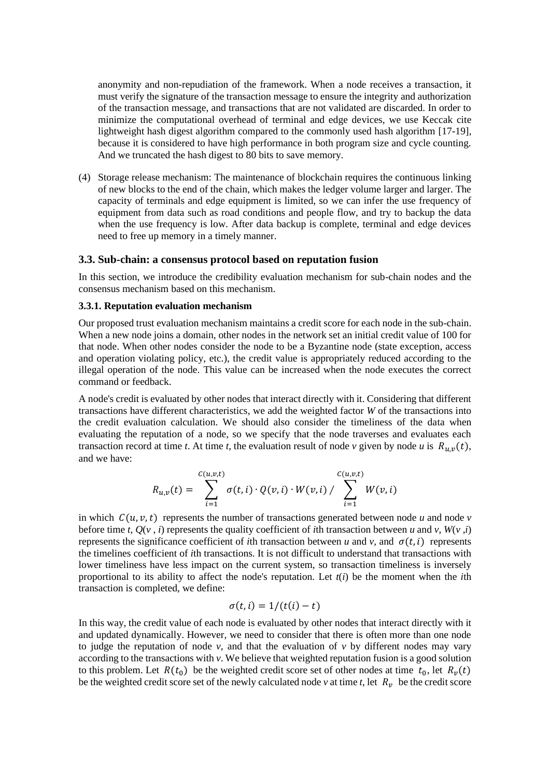anonymity and non-repudiation of the framework. When a node receives a transaction, it must verify the signature of the transaction message to ensure the integrity and authorization of the transaction message, and transactions that are not validated are discarded. In order to minimize the computational overhead of terminal and edge devices, we use Keccak cite lightweight hash digest algorithm compared to the commonly used hash algorithm [17-19], because it is considered to have high performance in both program size and cycle counting. And we truncated the hash digest to 80 bits to save memory.

(4) Storage release mechanism: The maintenance of blockchain requires the continuous linking of new blocks to the end of the chain, which makes the ledger volume larger and larger. The capacity of terminals and edge equipment is limited, so we can infer the use frequency of equipment from data such as road conditions and people flow, and try to backup the data when the use frequency is low. After data backup is complete, terminal and edge devices need to free up memory in a timely manner.

#### **3.3. Sub-chain: a consensus protocol based on reputation fusion**

In this section, we introduce the credibility evaluation mechanism for sub-chain nodes and the consensus mechanism based on this mechanism.

#### **3.3.1. Reputation evaluation mechanism**

Our proposed trust evaluation mechanism maintains a credit score for each node in the sub-chain. When a new node joins a domain, other nodes in the network set an initial credit value of 100 for that node. When other nodes consider the node to be a Byzantine node (state exception, access and operation violating policy, etc.), the credit value is appropriately reduced according to the illegal operation of the node. This value can be increased when the node executes the correct command or feedback.

A node's credit is evaluated by other nodes that interact directly with it. Considering that different transactions have different characteristics, we add the weighted factor *W* of the transactions into the credit evaluation calculation. We should also consider the timeliness of the data when evaluating the reputation of a node, so we specify that the node traverses and evaluates each transaction record at time *t*. At time *t*, the evaluation result of node *v* given by node *u* is  $R_{u,v}(t)$ , and we have:

$$
R_{u,v}(t) = \sum_{i=1}^{C(u,v,t)} \sigma(t,i) \cdot Q(v,i) \cdot W(v,i) / \sum_{i=1}^{C(u,v,t)} W(v,i)
$$

in which  $C(u, v, t)$  represents the number of transactions generated between node *u* and node *v* before time *t*,  $Q(v, i)$  represents the quality coefficient of *i*th transaction between *u* and *v*,  $W(v, i)$ represents the significance coefficient of *i*th transaction between *u* and *v*, and  $\sigma(t, i)$  represents the timelines coefficient of *i*th transactions. It is not difficult to understand that transactions with lower timeliness have less impact on the current system, so transaction timeliness is inversely proportional to its ability to affect the node's reputation. Let *t*(*i*) be the moment when the *i*th transaction is completed, we define:

$$
\sigma(t, i) = 1/(t(i) - t)
$$

In this way, the credit value of each node is evaluated by other nodes that interact directly with it and updated dynamically. However, we need to consider that there is often more than one node to judge the reputation of node *v*, and that the evaluation of *v* by different nodes may vary according to the transactions with *v*. We believe that weighted reputation fusion is a good solution to this problem. Let  $R(t_0)$  be the weighted credit score set of other nodes at time  $t_0$ , let  $R_v(t)$ be the weighted credit score set of the newly calculated node  $v$  at time  $t$ , let  $R_v$  be the credit score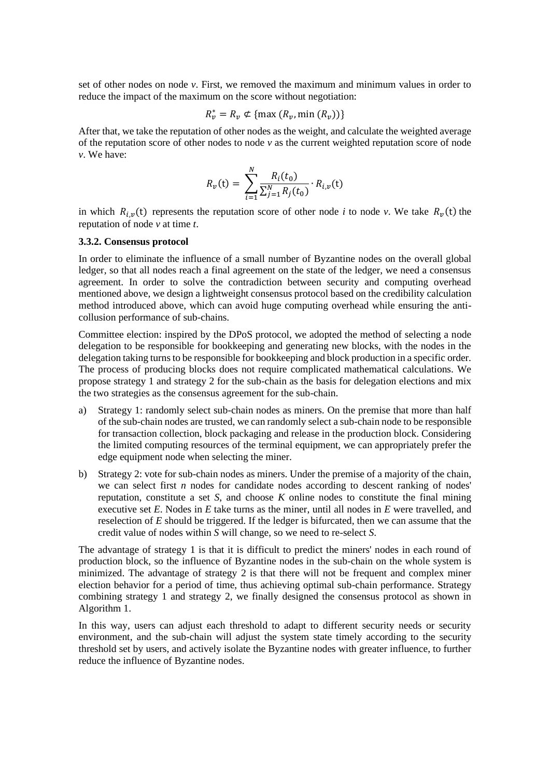set of other nodes on node *v*. First, we removed the maximum and minimum values in order to reduce the impact of the maximum on the score without negotiation:

$$
R_v^* = R_v \notin \{\max(R_v, \min(R_v))\}
$$

After that, we take the reputation of other nodes as the weight, and calculate the weighted average of the reputation score of other nodes to node  $\nu$  as the current weighted reputation score of node *v*. We have:

$$
R_{\nu}(\mathbf{t}) = \sum_{i=1}^{N} \frac{R_i(t_0)}{\sum_{j=1}^{N} R_j(t_0)} \cdot R_{i,\nu}(\mathbf{t})
$$

in which  $R_{i,\nu}(t)$  represents the reputation score of other node *i* to node *v*. We take  $R_{\nu}(t)$  the reputation of node *v* at time *t*.

#### **3.3.2. Consensus protocol**

In order to eliminate the influence of a small number of Byzantine nodes on the overall global ledger, so that all nodes reach a final agreement on the state of the ledger, we need a consensus agreement. In order to solve the contradiction between security and computing overhead mentioned above, we design a lightweight consensus protocol based on the credibility calculation method introduced above, which can avoid huge computing overhead while ensuring the anticollusion performance of sub-chains.

Committee election: inspired by the DPoS protocol, we adopted the method of selecting a node delegation to be responsible for bookkeeping and generating new blocks, with the nodes in the delegation taking turns to be responsible for bookkeeping and block production in a specific order. The process of producing blocks does not require complicated mathematical calculations. We propose strategy 1 and strategy 2 for the sub-chain as the basis for delegation elections and mix the two strategies as the consensus agreement for the sub-chain.

- a) Strategy 1: randomly select sub-chain nodes as miners. On the premise that more than half of the sub-chain nodes are trusted, we can randomly select a sub-chain node to be responsible for transaction collection, block packaging and release in the production block. Considering the limited computing resources of the terminal equipment, we can appropriately prefer the edge equipment node when selecting the miner.
- b) Strategy 2: vote for sub-chain nodes as miners. Under the premise of a majority of the chain, we can select first *n* nodes for candidate nodes according to descent ranking of nodes' reputation, constitute a set *S*, and choose *K* online nodes to constitute the final mining executive set *E*. Nodes in *E* take turns as the miner, until all nodes in *E* were travelled, and reselection of *E* should be triggered. If the ledger is bifurcated, then we can assume that the credit value of nodes within *S* will change, so we need to re-select *S*.

The advantage of strategy 1 is that it is difficult to predict the miners' nodes in each round of production block, so the influence of Byzantine nodes in the sub-chain on the whole system is minimized. The advantage of strategy 2 is that there will not be frequent and complex miner election behavior for a period of time, thus achieving optimal sub-chain performance. Strategy combining strategy 1 and strategy 2, we finally designed the consensus protocol as shown in Algorithm 1.

In this way, users can adjust each threshold to adapt to different security needs or security environment, and the sub-chain will adjust the system state timely according to the security threshold set by users, and actively isolate the Byzantine nodes with greater influence, to further reduce the influence of Byzantine nodes.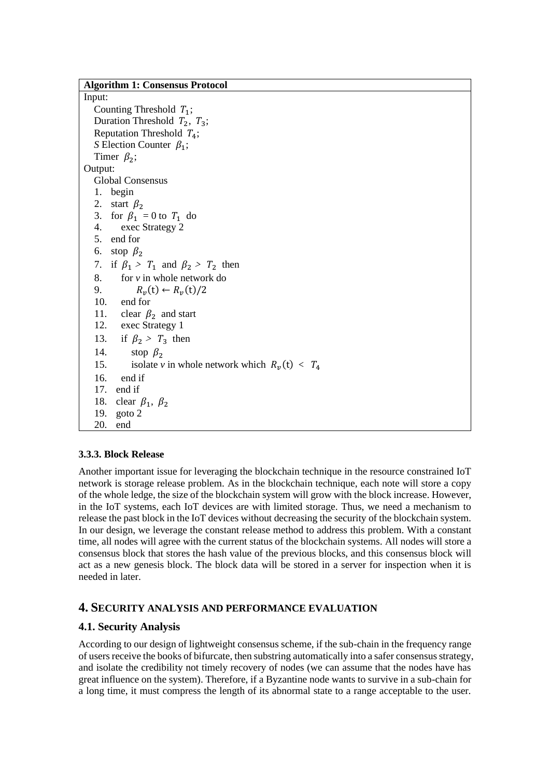| <b>Algorithm 1: Consensus Protocol</b>                 |  |  |  |  |
|--------------------------------------------------------|--|--|--|--|
| Input:                                                 |  |  |  |  |
| Counting Threshold $T_1$ ;                             |  |  |  |  |
| Duration Threshold $T_2$ , $T_3$ ;                     |  |  |  |  |
| Reputation Threshold $T_4$ ;                           |  |  |  |  |
| S Election Counter $\beta_1$ ;                         |  |  |  |  |
| Timer $\beta_2$ ;                                      |  |  |  |  |
| Output:                                                |  |  |  |  |
| <b>Global Consensus</b>                                |  |  |  |  |
| 1. begin                                               |  |  |  |  |
| 2. start $\beta_2$                                     |  |  |  |  |
| 3. for $\beta_1 = 0$ to $T_1$ do                       |  |  |  |  |
| 4. exec Strategy 2                                     |  |  |  |  |
| 5. end for                                             |  |  |  |  |
| 6. stop $\beta_2$                                      |  |  |  |  |
| 7. if $\beta_1 > T_1$ and $\beta_2 > T_2$ then         |  |  |  |  |
| for $v$ in whole network do<br>8.                      |  |  |  |  |
| 9.<br>$R_v(t) \leftarrow R_v(t)/2$                     |  |  |  |  |
| 10. end for                                            |  |  |  |  |
| 11. clear $\beta_2$ and start                          |  |  |  |  |
| 12. exec Strategy 1                                    |  |  |  |  |
| 13.<br>if $\beta_2 > T_3$ then                         |  |  |  |  |
| 14.<br>stop $\beta_2$                                  |  |  |  |  |
| isolate v in whole network which $R_v(t) < T_4$<br>15. |  |  |  |  |
| 16.<br>end if                                          |  |  |  |  |
| 17. end if                                             |  |  |  |  |
| clear $\beta_1$ , $\beta_2$<br>18.                     |  |  |  |  |
| goto 2<br>19.                                          |  |  |  |  |
| 20.<br>end                                             |  |  |  |  |

# **3.3.3. Block Release**

Another important issue for leveraging the blockchain technique in the resource constrained IoT network is storage release problem. As in the blockchain technique, each note will store a copy of the whole ledge, the size of the blockchain system will grow with the block increase. However, in the IoT systems, each IoT devices are with limited storage. Thus, we need a mechanism to release the past block in the IoT devices without decreasing the security of the blockchain system. In our design, we leverage the constant release method to address this problem. With a constant time, all nodes will agree with the current status of the blockchain systems. All nodes will store a consensus block that stores the hash value of the previous blocks, and this consensus block will act as a new genesis block. The block data will be stored in a server for inspection when it is needed in later.

# **4. SECURITY ANALYSIS AND PERFORMANCE EVALUATION**

# **4.1. Security Analysis**

According to our design of lightweight consensus scheme, if the sub-chain in the frequency range of users receive the books of bifurcate, then substring automatically into a safer consensus strategy, and isolate the credibility not timely recovery of nodes (we can assume that the nodes have has great influence on the system). Therefore, if a Byzantine node wants to survive in a sub-chain for a long time, it must compress the length of its abnormal state to a range acceptable to the user.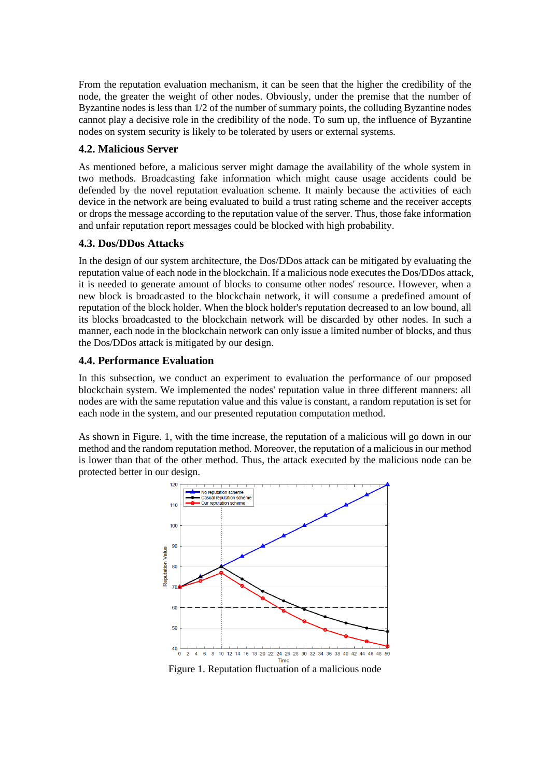From the reputation evaluation mechanism, it can be seen that the higher the credibility of the node, the greater the weight of other nodes. Obviously, under the premise that the number of Byzantine nodes is less than 1/2 of the number of summary points, the colluding Byzantine nodes cannot play a decisive role in the credibility of the node. To sum up, the influence of Byzantine nodes on system security is likely to be tolerated by users or external systems.

# **4.2. Malicious Server**

As mentioned before, a malicious server might damage the availability of the whole system in two methods. Broadcasting fake information which might cause usage accidents could be defended by the novel reputation evaluation scheme. It mainly because the activities of each device in the network are being evaluated to build a trust rating scheme and the receiver accepts or drops the message according to the reputation value of the server. Thus, those fake information and unfair reputation report messages could be blocked with high probability.

# **4.3. Dos/DDos Attacks**

In the design of our system architecture, the Dos/DDos attack can be mitigated by evaluating the reputation value of each node in the blockchain. If a malicious node executes the Dos/DDos attack, it is needed to generate amount of blocks to consume other nodes' resource. However, when a new block is broadcasted to the blockchain network, it will consume a predefined amount of reputation of the block holder. When the block holder's reputation decreased to an low bound, all its blocks broadcasted to the blockchain network will be discarded by other nodes. In such a manner, each node in the blockchain network can only issue a limited number of blocks, and thus the Dos/DDos attack is mitigated by our design.

# **4.4. Performance Evaluation**

In this subsection, we conduct an experiment to evaluation the performance of our proposed blockchain system. We implemented the nodes' reputation value in three different manners: all nodes are with the same reputation value and this value is constant, a random reputation is set for each node in the system, and our presented reputation computation method.

As shown in Figure. 1, with the time increase, the reputation of a malicious will go down in our method and the random reputation method. Moreover, the reputation of a malicious in our method is lower than that of the other method. Thus, the attack executed by the malicious node can be protected better in our design.



Figure 1. Reputation fluctuation of a malicious node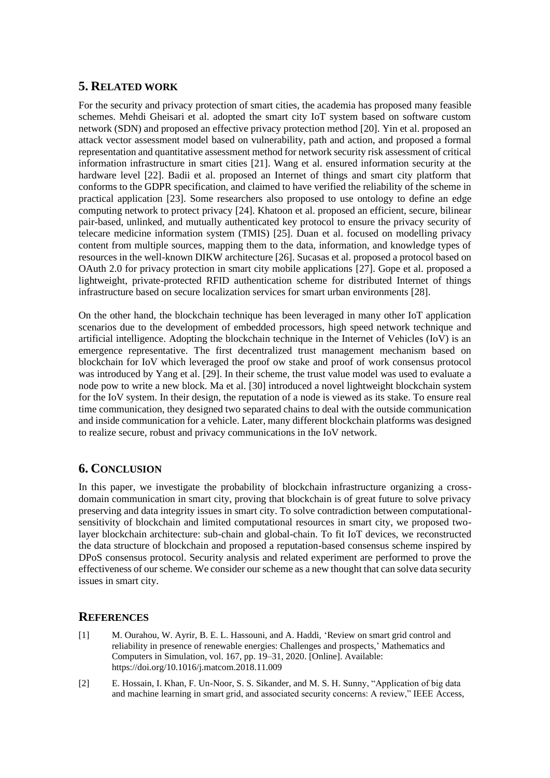# **5. RELATED WORK**

For the security and privacy protection of smart cities, the academia has proposed many feasible schemes. Mehdi Gheisari et al. adopted the smart city IoT system based on software custom network (SDN) and proposed an effective privacy protection method [20]. Yin et al. proposed an attack vector assessment model based on vulnerability, path and action, and proposed a formal representation and quantitative assessment method for network security risk assessment of critical information infrastructure in smart cities [21]. Wang et al. ensured information security at the hardware level [22]. Badii et al. proposed an Internet of things and smart city platform that conforms to the GDPR specification, and claimed to have verified the reliability of the scheme in practical application [23]. Some researchers also proposed to use ontology to define an edge computing network to protect privacy [24]. Khatoon et al. proposed an efficient, secure, bilinear pair-based, unlinked, and mutually authenticated key protocol to ensure the privacy security of telecare medicine information system (TMIS) [25]. Duan et al. focused on modelling privacy content from multiple sources, mapping them to the data, information, and knowledge types of resources in the well-known DIKW architecture [26]. Sucasas et al. proposed a protocol based on OAuth 2.0 for privacy protection in smart city mobile applications [27]. Gope et al. proposed a lightweight, private-protected RFID authentication scheme for distributed Internet of things infrastructure based on secure localization services for smart urban environments [28].

On the other hand, the blockchain technique has been leveraged in many other IoT application scenarios due to the development of embedded processors, high speed network technique and artificial intelligence. Adopting the blockchain technique in the Internet of Vehicles (IoV) is an emergence representative. The first decentralized trust management mechanism based on blockchain for IoV which leveraged the proof ow stake and proof of work consensus protocol was introduced by Yang et al. [29]. In their scheme, the trust value model was used to evaluate a node pow to write a new block. Ma et al. [30] introduced a novel lightweight blockchain system for the IoV system. In their design, the reputation of a node is viewed as its stake. To ensure real time communication, they designed two separated chains to deal with the outside communication and inside communication for a vehicle. Later, many different blockchain platforms was designed to realize secure, robust and privacy communications in the IoV network.

# **6. CONCLUSION**

In this paper, we investigate the probability of blockchain infrastructure organizing a crossdomain communication in smart city, proving that blockchain is of great future to solve privacy preserving and data integrity issues in smart city. To solve contradiction between computationalsensitivity of blockchain and limited computational resources in smart city, we proposed twolayer blockchain architecture: sub-chain and global-chain. To fit IoT devices, we reconstructed the data structure of blockchain and proposed a reputation-based consensus scheme inspired by DPoS consensus protocol. Security analysis and related experiment are performed to prove the effectiveness of our scheme. We consider our scheme as a new thought that can solve data security issues in smart city.

# **REFERENCES**

- [1] M. Ourahou, W. Ayrir, B. E. L. Hassouni, and A. Haddi, 'Review on smart grid control and reliability in presence of renewable energies: Challenges and prospects,' Mathematics and Computers in Simulation, vol. 167, pp. 19–31, 2020. [Online]. Available: https://doi.org/10.1016/j.matcom.2018.11.009
- [2] E. Hossain, I. Khan, F. Un-Noor, S. S. Sikander, and M. S. H. Sunny, "Application of big data and machine learning in smart grid, and associated security concerns: A review," IEEE Access,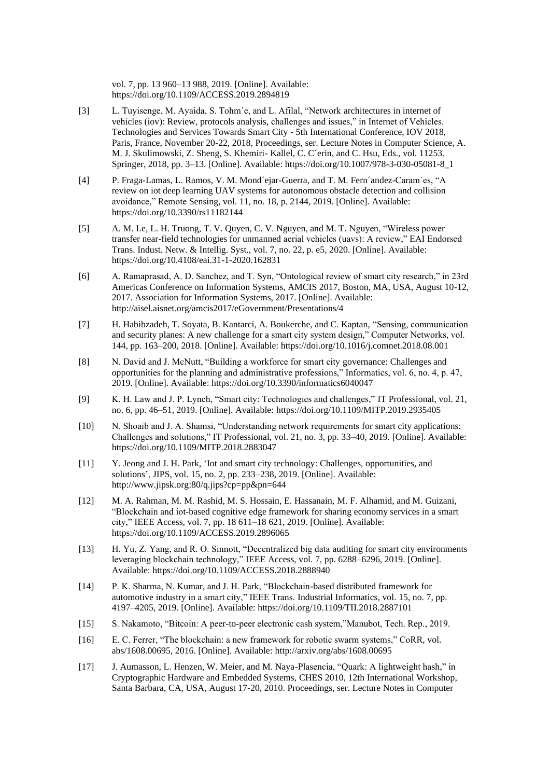vol. 7, pp. 13 960–13 988, 2019. [Online]. Available: https://doi.org/10.1109/ACCESS.2019.2894819

- [3] L. Tuyisenge, M. Ayaida, S. Tohm´e, and L. Afilal, "Network architectures in internet of vehicles (iov): Review, protocols analysis, challenges and issues," in Internet of Vehicles. Technologies and Services Towards Smart City - 5th International Conference, IOV 2018, Paris, France, November 20-22, 2018, Proceedings, ser. Lecture Notes in Computer Science, A. M. J. Skulimowski, Z. Sheng, S. Khemiri- Kallel, C. C´erin, and C. Hsu, Eds., vol. 11253. Springer, 2018, pp. 3–13. [Online]. Available: https://doi.org/10.1007/978-3-030-05081-8\_1
- [4] P. Fraga-Lamas, L. Ramos, V. M. Mond´ejar-Guerra, and T. M. Fern´andez-Caram´es, "A review on iot deep learning UAV systems for autonomous obstacle detection and collision avoidance," Remote Sensing, vol. 11, no. 18, p. 2144, 2019. [Online]. Available: https://doi.org/10.3390/rs11182144
- [5] A. M. Le, L. H. Truong, T. V. Quyen, C. V. Nguyen, and M. T. Nguyen, "Wireless power transfer near-field technologies for unmanned aerial vehicles (uavs): A review," EAI Endorsed Trans. Indust. Netw. & Intellig. Syst., vol. 7, no. 22, p. e5, 2020. [Online]. Available: https://doi.org/10.4108/eai.31-1-2020.162831
- [6] A. Ramaprasad, A. D. Sanchez, and T. Syn, "Ontological review of smart city research," in 23rd Americas Conference on Information Systems, AMCIS 2017, Boston, MA, USA, August 10-12, 2017. Association for Information Systems, 2017. [Online]. Available: http://aisel.aisnet.org/amcis2017/eGovernment/Presentations/4
- [7] H. Habibzadeh, T. Soyata, B. Kantarci, A. Boukerche, and C. Kaptan, "Sensing, communication and security planes: A new challenge for a smart city system design," Computer Networks, vol. 144, pp. 163–200, 2018. [Online]. Available: https://doi.org/10.1016/j.comnet.2018.08.001
- [8] N. David and J. McNutt, "Building a workforce for smart city governance: Challenges and opportunities for the planning and administrative professions," Informatics, vol. 6, no. 4, p. 47, 2019. [Online]. Available: https://doi.org/10.3390/informatics6040047
- [9] K. H. Law and J. P. Lynch, "Smart city: Technologies and challenges," IT Professional, vol. 21, no. 6, pp. 46–51, 2019. [Online]. Available: https://doi.org/10.1109/MITP.2019.2935405
- [10] N. Shoaib and J. A. Shamsi, "Understanding network requirements for smart city applications: Challenges and solutions," IT Professional, vol. 21, no. 3, pp. 33–40, 2019. [Online]. Available: https://doi.org/10.1109/MITP.2018.2883047
- [11] Y. Jeong and J. H. Park, 'Iot and smart city technology: Challenges, opportunities, and solutions', JIPS, vol. 15, no. 2, pp. 233–238, 2019. [Online]. Available: http://www.jipsk.org:80/q.jips?cp=pp&pn=644
- [12] M. A. Rahman, M. M. Rashid, M. S. Hossain, E. Hassanain, M. F. Alhamid, and M. Guizani, "Blockchain and iot-based cognitive edge framework for sharing economy services in a smart city," IEEE Access, vol. 7, pp. 18 611–18 621, 2019. [Online]. Available: https://doi.org/10.1109/ACCESS.2019.2896065
- [13] H. Yu, Z. Yang, and R. O. Sinnott, "Decentralized big data auditing for smart city environments leveraging blockchain technology," IEEE Access, vol. 7, pp. 6288–6296, 2019. [Online]. Available: https://doi.org/10.1109/ACCESS.2018.2888940
- [14] P. K. Sharma, N. Kumar, and J. H. Park, "Blockchain-based distributed framework for automotive industry in a smart city," IEEE Trans. Industrial Informatics, vol. 15, no. 7, pp. 4197–4205, 2019. [Online]. Available: https://doi.org/10.1109/TII.2018.2887101
- [15] S. Nakamoto, "Bitcoin: A peer-to-peer electronic cash system,"Manubot, Tech. Rep., 2019.
- [16] E. C. Ferrer, "The blockchain: a new framework for robotic swarm systems," CoRR, vol. abs/1608.00695, 2016. [Online]. Available: http://arxiv.org/abs/1608.00695
- [17] J. Aumasson, L. Henzen, W. Meier, and M. Naya-Plasencia, "Quark: A lightweight hash," in Cryptographic Hardware and Embedded Systems, CHES 2010, 12th International Workshop, Santa Barbara, CA, USA, August 17-20, 2010. Proceedings, ser. Lecture Notes in Computer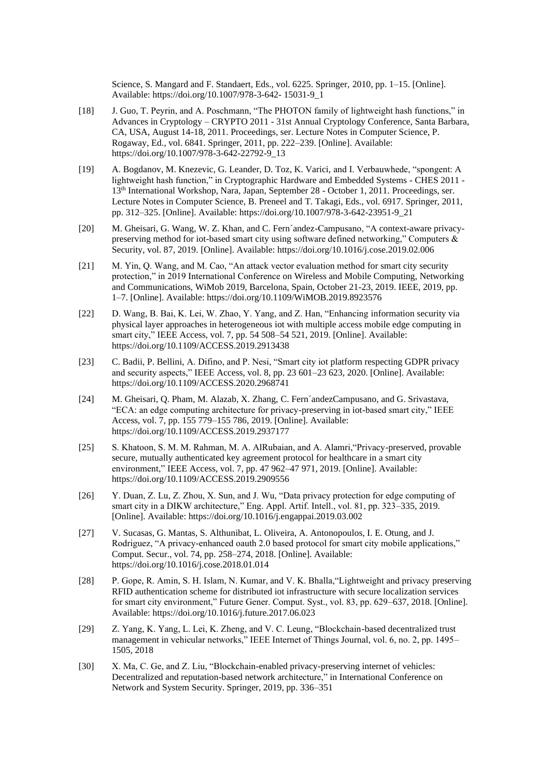Science, S. Mangard and F. Standaert, Eds., vol. 6225. Springer, 2010, pp. 1–15. [Online]. Available: https://doi.org/10.1007/978-3-642- 15031-9\_1

- [18] J. Guo, T. Peyrin, and A. Poschmann, "The PHOTON family of lightweight hash functions," in Advances in Cryptology – CRYPTO 2011 - 31st Annual Cryptology Conference, Santa Barbara, CA, USA, August 14-18, 2011. Proceedings, ser. Lecture Notes in Computer Science, P. Rogaway, Ed., vol. 6841. Springer, 2011, pp. 222–239. [Online]. Available: https://doi.org/10.1007/978-3-642-22792-9\_13
- [19] A. Bogdanov, M. Knezevic, G. Leander, D. Toz, K. Varici, and I. Verbauwhede, "spongent: A lightweight hash function," in Cryptographic Hardware and Embedded Systems - CHES 2011 - 13th International Workshop, Nara, Japan, September 28 - October 1, 2011. Proceedings, ser. Lecture Notes in Computer Science, B. Preneel and T. Takagi, Eds., vol. 6917. Springer, 2011, pp. 312–325. [Online]. Available: https://doi.org/10.1007/978-3-642-23951-9\_21
- [20] M. Gheisari, G. Wang, W. Z. Khan, and C. Fern´andez-Campusano, "A context-aware privacypreserving method for iot-based smart city using software defined networking," Computers & Security, vol. 87, 2019. [Online]. Available: https://doi.org/10.1016/j.cose.2019.02.006
- [21] M. Yin, Q. Wang, and M. Cao, "An attack vector evaluation method for smart city security protection," in 2019 International Conference on Wireless and Mobile Computing, Networking and Communications, WiMob 2019, Barcelona, Spain, October 21-23, 2019. IEEE, 2019, pp. 1–7. [Online]. Available: https://doi.org/10.1109/WiMOB.2019.8923576
- [22] D. Wang, B. Bai, K. Lei, W. Zhao, Y. Yang, and Z. Han, "Enhancing information security via physical layer approaches in heterogeneous iot with multiple access mobile edge computing in smart city," IEEE Access, vol. 7, pp. 54 508–54 521, 2019. [Online]. Available: https://doi.org/10.1109/ACCESS.2019.2913438
- [23] C. Badii, P. Bellini, A. Difino, and P. Nesi, "Smart city iot platform respecting GDPR privacy and security aspects," IEEE Access, vol. 8, pp. 23 601–23 623, 2020. [Online]. Available: https://doi.org/10.1109/ACCESS.2020.2968741
- [24] M. Gheisari, Q. Pham, M. Alazab, X. Zhang, C. Fern´andezCampusano, and G. Srivastava, "ECA: an edge computing architecture for privacy-preserving in iot-based smart city," IEEE Access, vol. 7, pp. 155 779–155 786, 2019. [Online]. Available: https://doi.org/10.1109/ACCESS.2019.2937177
- [25] S. Khatoon, S. M. M. Rahman, M. A. AlRubaian, and A. Alamri,"Privacy-preserved, provable secure, mutually authenticated key agreement protocol for healthcare in a smart city environment," IEEE Access, vol. 7, pp. 47 962–47 971, 2019. [Online]. Available: https://doi.org/10.1109/ACCESS.2019.2909556
- [26] Y. Duan, Z. Lu, Z. Zhou, X. Sun, and J. Wu, "Data privacy protection for edge computing of smart city in a DIKW architecture," Eng. Appl. Artif. Intell., vol. 81, pp. 323–335, 2019. [Online]. Available: https://doi.org/10.1016/j.engappai.2019.03.002
- [27] V. Sucasas, G. Mantas, S. Althunibat, L. Oliveira, A. Antonopoulos, I. E. Otung, and J. Rodriguez, "A privacy-enhanced oauth 2.0 based protocol for smart city mobile applications," Comput. Secur., vol. 74, pp. 258–274, 2018. [Online]. Available: https://doi.org/10.1016/j.cose.2018.01.014
- [28] P. Gope, R. Amin, S. H. Islam, N. Kumar, and V. K. Bhalla,"Lightweight and privacy preserving RFID authentication scheme for distributed iot infrastructure with secure localization services for smart city environment," Future Gener. Comput. Syst., vol. 83, pp. 629–637, 2018. [Online]. Available: https://doi.org/10.1016/j.future.2017.06.023
- [29] Z. Yang, K. Yang, L. Lei, K. Zheng, and V. C. Leung, "Blockchain-based decentralized trust management in vehicular networks," IEEE Internet of Things Journal, vol. 6, no. 2, pp. 1495– 1505, 2018
- [30] X. Ma, C. Ge, and Z. Liu, "Blockchain-enabled privacy-preserving internet of vehicles: Decentralized and reputation-based network architecture," in International Conference on Network and System Security. Springer, 2019, pp. 336–351